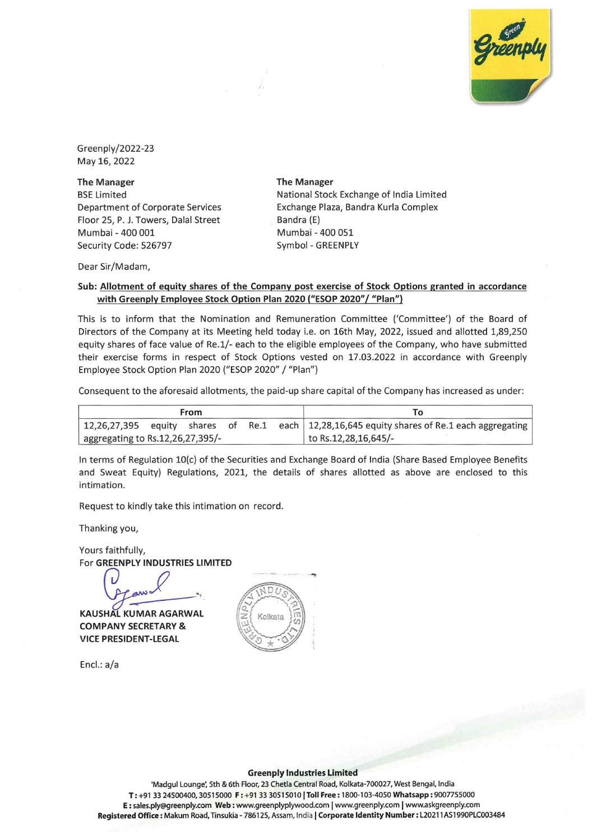

Green ply / 2022-23 May 16, 2022

**The Manager**  BSE Limited Department of Corporate Services Floor 25, P. J. Towers, Dalal Street Mumbai - 400 001 Security Code: 526797

**The Manager**  National Stock Exchange of India Limited Exchange Plaza, Bandra Kurla Complex Bandra (E) Mumbai - 400 051 Symbol - GREENPLY

Dear Sir/Madam,

## **Sub: Allotment of equity shares of the Company post exercise of Stock Options granted in accordance**  with Greenply Employee Stock Option Plan 2020 ("ESOP 2020"/ "Plan")

/,

This is to inform that the Nomination and Remuneration Committee ('Committee') of the Board of Directors of the Company at its Meeting held today i.e. on 16th May, 2022, issued and allotted 1,89,250 equity shares of face value of Re.1/- each to the eligible employees of the Company, who have submitted their exercise forms in respect of Stock Options vested on 17.03.2022 in accordance with Greenply Employee Stock Option Plan 2020 ("ESOP 2020" / "Plan")

Consequent to the aforesaid allotments, the paid-up share capital of the Company has increased as under:

|                                  | From |  |                                                                                                           |
|----------------------------------|------|--|-----------------------------------------------------------------------------------------------------------|
|                                  |      |  | $\mid$ 12,26,27,395 equity shares of Re.1 each $\mid$ 12,28,16,645 equity shares of Re.1 each aggregating |
| aggregating to Rs.12,26,27,395/- |      |  | to Rs.12,28,16,645/-                                                                                      |

In terms of Regulation 10(c) of the Securities and Exchange Board of India (Share Based Employee Benefits and Sweat Equity) Regulations, 2021, the details of shares allotted as above are enclosed to this intimation.

Request to kindly take this intimation on record.

Thanking you,

Yours faithfully,

For **GREENPLY INDUSTRIES LIMITED** 

**KAUSHAL KUMAR AGARWAL COMPANY SECRETARY** & **VICE PRESIDENT-LEGAL** 

End: a/a



 $DI$ 

Kolkata

## **Greenply Industries Limited**

'Madgul Lounge', 5th & 6th Floor, 23 Chetla Central Road, Kolkata-700027, West Bengal, India **T:** +91 33 24500400, 30515000 **F:** +91 33 30515010 I **Toll Free:** 1800-103-4050 **Whatsapp:** <sup>9007755000</sup> **E:** sales.ply@greenply,com Web: www.greenplyplywood.com I www.greenply.com I www.askgreenply.com Registered Office: Makum Road, Tinsukia- 786125, Assam, India I Corporate Identity Number: L20211AS1990PLC003484